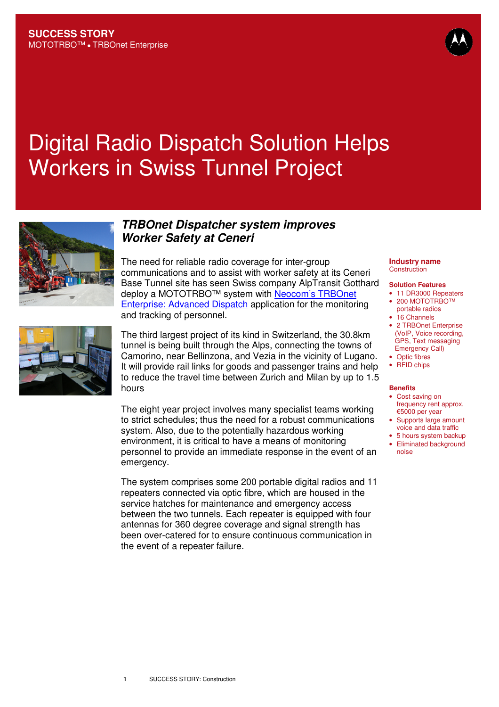# Digital Radio Dispatch Solution Helps Workers in Swiss Tunnel Project



# **TRBOnet Dispatcher system improves Worker Safety at Ceneri**

The need for reliable radio coverage for inter-group communications and to assist with worker safety at its Ceneri Base Tunnel site has seen Swiss company AlpTransit Gotthard deploy a MOTOTRBO™ system with Neocom's TRBOnet Enterprise: Advanced Dispatch application for the monitoring and tracking of personnel.



The third largest project of its kind in Switzerland, the 30.8km tunnel is being built through the Alps, connecting the towns of Camorino, near Bellinzona, and Vezia in the vicinity of Lugano. It will provide rail links for goods and passenger trains and help to reduce the travel time between Zurich and Milan by up to 1.5 hours

The eight year project involves many specialist teams working to strict schedules; thus the need for a robust communications system. Also, due to the potentially hazardous working environment, it is critical to have a means of monitoring personnel to provide an immediate response in the event of an emergency.

The system comprises some 200 portable digital radios and 11 repeaters connected via optic fibre, which are housed in the service hatches for maintenance and emergency access between the two tunnels. Each repeater is equipped with four antennas for 360 degree coverage and signal strength has been over-catered for to ensure continuous communication in the event of a repeater failure.

#### **Industry name Construction**

#### **Solution Features**

- 11 DR3000 Repeaters • 200 MOTOTRBO™
- portable radios
	- 16 Channels
	- 2 TRBOnet Enterprise (VoIP, Voice recording, GPS, Text messaging Emergency Call)
	- Optic fibres • RFID chips
	-

#### **Benefits**

- Cost saving on frequency rent approx. €5000 per year
- Supports large amount voice and data traffic
- 5 hours system backup
- Eliminated background noise